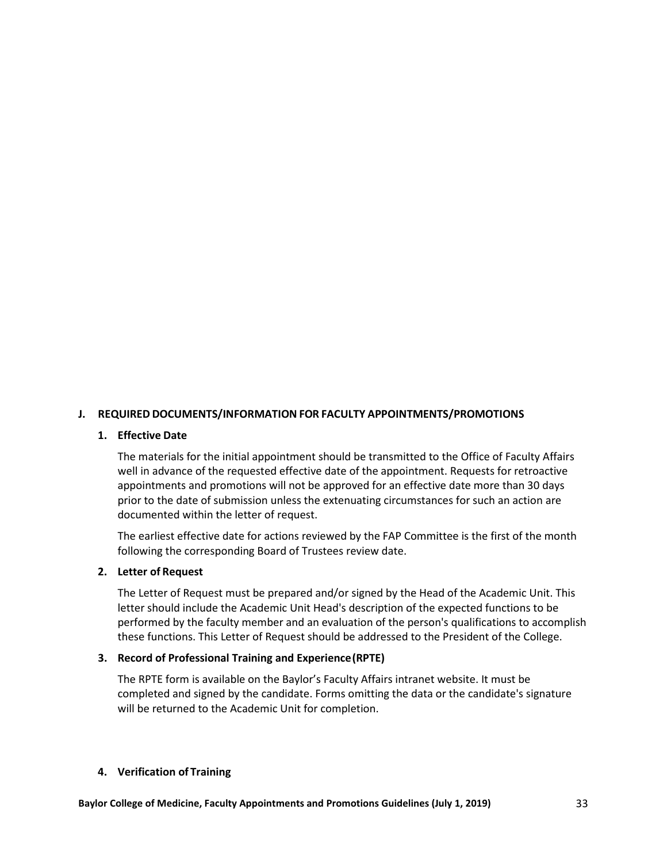## **J. REQUIRED DOCUMENTS/INFORMATION FOR FACULTY APPOINTMENTS/PROMOTIONS**

### **1. Effective Date**

The materials for the initial appointment should be transmitted to the Office of Faculty Affairs well in advance of the requested effective date of the appointment. Requests for retroactive appointments and promotions will not be approved for an effective date more than 30 days prior to the date of submission unless the extenuating circumstances for such an action are documented within the letter of request.

The earliest effective date for actions reviewed by the FAP Committee is the first of the month following the corresponding Board of Trustees review date.

### **2. Letter of Request**

The Letter of Request must be prepared and/or signed by the Head of the Academic Unit. This letter should include the Academic Unit Head's description of the expected functions to be performed by the faculty member and an evaluation of the person's qualifications to accomplish these functions. This Letter of Request should be addressed to the President of the College.

### **3. Record of Professional Training and Experience(RPTE)**

The RPTE form is available on the Baylor's Faculty Affairs intranet website. It must be completed and signed by the candidate. Forms omitting the data or the candidate's signature will be returned to the Academic Unit for completion.

#### **4. Verification of Training**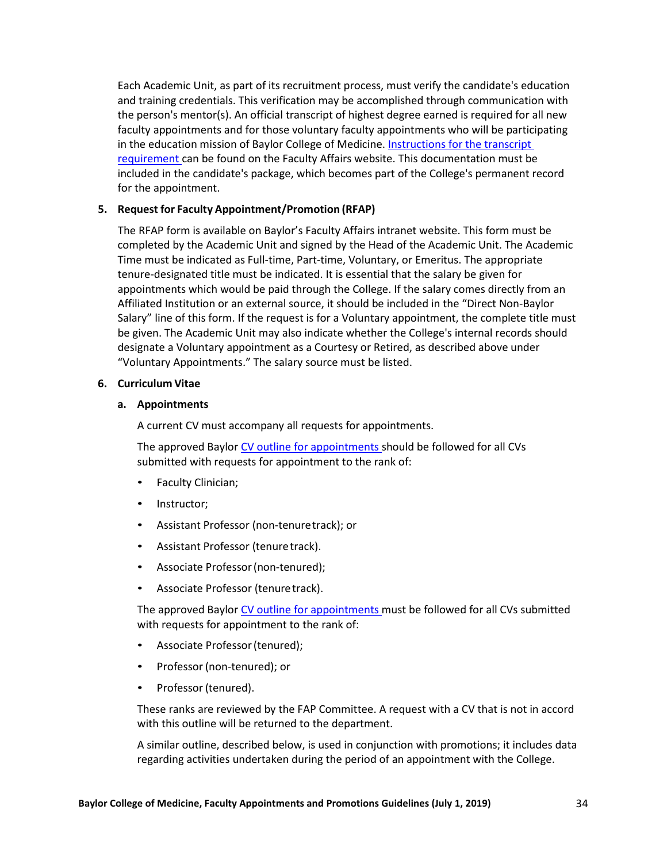Each Academic Unit, as part of its recruitment process, must verify the candidate's education and training credentials. This verification may be accomplished through communication with the person's mentor(s). An official transcript of highest degree earned is required for all new faculty appointments and for those voluntary faculty appointments who will be participating in the education mission of Baylor College of Medicine. [Instructions for the transcript](http://intranet.bcm.edu/?fuseaction=home.showpage&tmp=/faculty_affairs/docs/transcript-requirement)  [requirement](http://intranet.bcm.edu/?fuseaction=home.showpage&tmp=/faculty_affairs/docs/transcript-requirement) can be found on the Faculty Affairs website. This documentation must be included in the candidate's package, which becomes part of the College's permanent record for the appointment.

## **5. Request for Faculty Appointment/Promotion (RFAP)**

The RFAP form is available on Baylor's Faculty Affairs intranet website. This form must be completed by the Academic Unit and signed by the Head of the Academic Unit. The Academic Time must be indicated as Full-time, Part-time, Voluntary, or Emeritus. The appropriate tenure-designated title must be indicated. It is essential that the salary be given for appointments which would be paid through the College. If the salary comes directly from an Affiliated Institution or an external source, it should be included in the "Direct Non-Baylor Salary" line of this form. If the request is for a Voluntary appointment, the complete title must be given. The Academic Unit may also indicate whether the College's internal records should designate a Voluntary appointment as a Courtesy or Retired, as described above under "Voluntary Appointments." The salary source must be listed.

### **6. Curriculum Vitae**

## **a. Appointments**

A current CV must accompany all requests for appointments.

The approved Baylor [CV outline for appointments](https://intranet.bcm.edu/?fuseaction=home.showpage&tmp=/faculty_affairs/docs/CV_Appointment) should be followed for all CVs submitted with requests for appointment to the rank of:

- Faculty Clinician;
- Instructor;
- Assistant Professor (non-tenuretrack); or
- Assistant Professor (tenure track).
- Associate Professor(non-tenured);
- Associate Professor (tenure track).

The approved Baylor [CV outline for appointments](https://intranet.bcm.edu/?fuseaction=home.showpage&tmp=/faculty_affairs/docs/CV_Appointment) must be followed for all CVs submitted with requests for appointment to the rank of:

- Associate Professor(tenured);
- Professor (non-tenured); or
- Professor (tenured).

These ranks are reviewed by the FAP Committee. A request with a CV that is not in accord with this outline will be returned to the department.

A similar outline, described below, is used in conjunction with promotions; it includes data regarding activities undertaken during the period of an appointment with the College.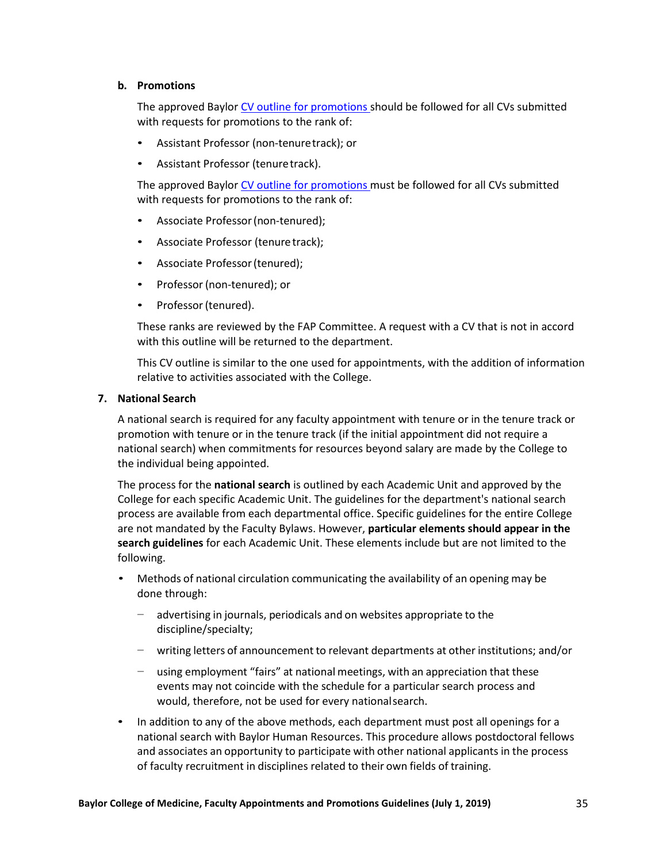## **b. Promotions**

The approved Baylor [CV outline for promotions](https://intranet.bcm.edu/?fuseaction=home.showpage&tmp=/faculty_affairs/docs/CV_Promotion) should be followed for all CVs submitted with requests for promotions to the rank of:

- Assistant Professor (non-tenuretrack); or
- Assistant Professor (tenuretrack).

The approved Baylor [CV outline for promotions](https://intranet.bcm.edu/?fuseaction=home.showpage&tmp=/faculty_affairs/docs/CV_Promotion) must be followed for all CVs submitted with requests for promotions to the rank of:

- Associate Professor(non-tenured);
- Associate Professor (tenure track);
- Associate Professor(tenured);
- Professor (non-tenured); or
- Professor (tenured).

These ranks are reviewed by the FAP Committee. A request with a CV that is not in accord with this outline will be returned to the department.

This CV outline is similar to the one used for appointments, with the addition of information relative to activities associated with the College.

## **7. National Search**

A national search is required for any faculty appointment with tenure or in the tenure track or promotion with tenure or in the tenure track (if the initial appointment did not require a national search) when commitments for resources beyond salary are made by the College to the individual being appointed.

The process for the **national search** is outlined by each Academic Unit and approved by the College for each specific Academic Unit. The guidelines for the department's national search process are available from each departmental office. Specific guidelines for the entire College are not mandated by the Faculty Bylaws. However, **particular elements should appear in the search guidelines** for each Academic Unit. These elements include but are not limited to the following.

- Methods of national circulation communicating the availability of an opening may be done through:
	- − advertising in journals, periodicals and on websites appropriate to the discipline/specialty;
	- − writing letters of announcement to relevant departments at other institutions; and/or
	- − using employment "fairs" at national meetings, with an appreciation that these events may not coincide with the schedule for a particular search process and would, therefore, not be used for every nationalsearch.
- In addition to any of the above methods, each department must post all openings for a national search with Baylor Human Resources. This procedure allows postdoctoral fellows and associates an opportunity to participate with other national applicants in the process of faculty recruitment in disciplines related to their own fields of training.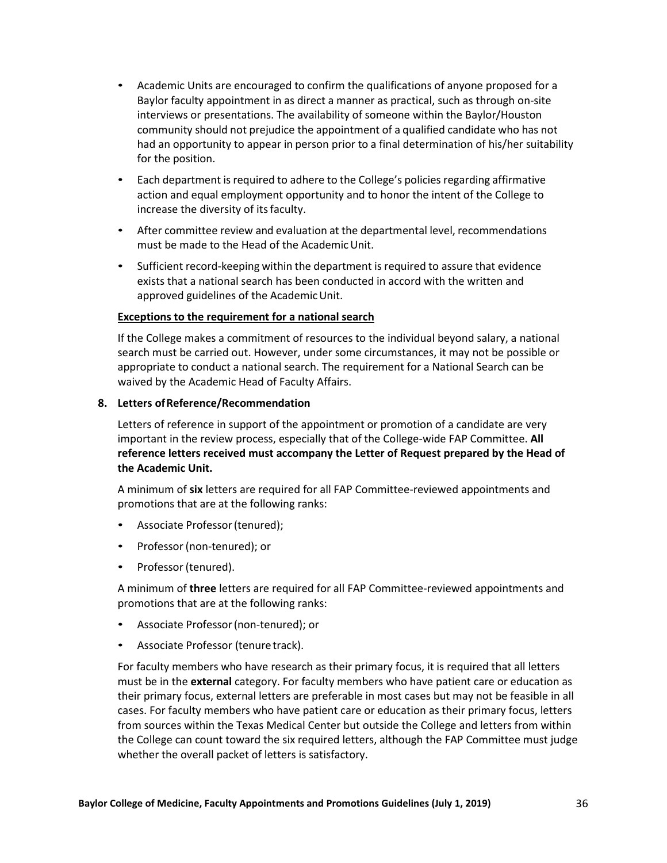- Academic Units are encouraged to confirm the qualifications of anyone proposed for a Baylor faculty appointment in as direct a manner as practical, such as through on-site interviews or presentations. The availability of someone within the Baylor/Houston community should not prejudice the appointment of a qualified candidate who has not had an opportunity to appear in person prior to a final determination of his/her suitability for the position.
- Each department is required to adhere to the College's policies regarding affirmative action and equal employment opportunity and to honor the intent of the College to increase the diversity of its faculty.
- After committee review and evaluation at the departmental level, recommendations must be made to the Head of the AcademicUnit.
- Sufficient record-keeping within the department is required to assure that evidence exists that a national search has been conducted in accord with the written and approved guidelines of the AcademicUnit.

# **Exceptions to the requirement for a national search**

If the College makes a commitment of resources to the individual beyond salary, a national search must be carried out. However, under some circumstances, it may not be possible or appropriate to conduct a national search. The requirement for a National Search can be waived by the Academic Head of Faculty Affairs.

# **8. Letters ofReference/Recommendation**

Letters of reference in support of the appointment or promotion of a candidate are very important in the review process, especially that of the College-wide FAP Committee. **All reference letters received must accompany the Letter of Request prepared by the Head of the Academic Unit.**

A minimum of **six** letters are required for all FAP Committee-reviewed appointments and promotions that are at the following ranks:

- Associate Professor (tenured);
- Professor (non-tenured); or
- Professor (tenured).

A minimum of **three** letters are required for all FAP Committee-reviewed appointments and promotions that are at the following ranks:

- Associate Professor(non-tenured); or
- Associate Professor (tenure track).

For faculty members who have research as their primary focus, it is required that all letters must be in the **external** category. For faculty members who have patient care or education as their primary focus, external letters are preferable in most cases but may not be feasible in all cases. For faculty members who have patient care or education as their primary focus, letters from sources within the Texas Medical Center but outside the College and letters from within the College can count toward the six required letters, although the FAP Committee must judge whether the overall packet of letters is satisfactory.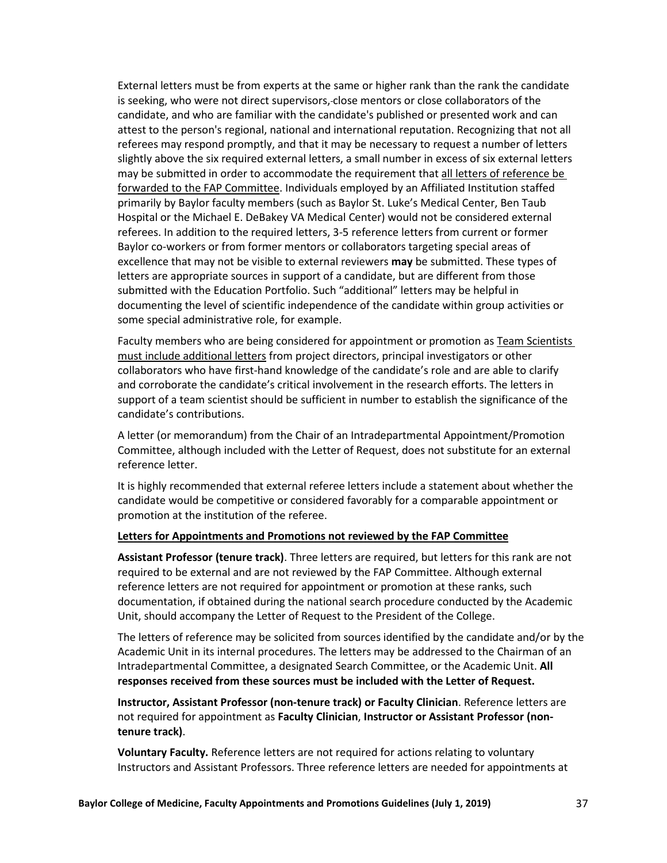External letters must be from experts at the same or higher rank than the rank the candidate is seeking, who were not direct supervisors, close mentors or close collaborators of the candidate, and who are familiar with the candidate's published or presented work and can attest to the person's regional, national and international reputation. Recognizing that not all referees may respond promptly, and that it may be necessary to request a number of letters slightly above the six required external letters, a small number in excess of six external letters may be submitted in order to accommodate the requirement that all letters of reference be forwarded to the FAP Committee. Individuals employed by an Affiliated Institution staffed primarily by Baylor faculty members (such as Baylor St. Luke's Medical Center, Ben Taub Hospital or the Michael E. DeBakey VA Medical Center) would not be considered external referees. In addition to the required letters, 3-5 reference letters from current or former Baylor co-workers or from former mentors or collaborators targeting special areas of excellence that may not be visible to external reviewers **may** be submitted. These types of letters are appropriate sources in support of a candidate, but are different from those submitted with the Education Portfolio. Such "additional" letters may be helpful in documenting the level of scientific independence of the candidate within group activities or some special administrative role, for example.

Faculty members who are being considered for appointment or promotion as Team Scientists must include additional letters from project directors, principal investigators or other collaborators who have first-hand knowledge of the candidate's role and are able to clarify and corroborate the candidate's critical involvement in the research efforts. The letters in support of a team scientist should be sufficient in number to establish the significance of the candidate's contributions.

A letter (or memorandum) from the Chair of an Intradepartmental Appointment/Promotion Committee, although included with the Letter of Request, does not substitute for an external reference letter.

It is highly recommended that external referee letters include a statement about whether the candidate would be competitive or considered favorably for a comparable appointment or promotion at the institution of the referee.

## **Letters for Appointments and Promotions not reviewed by the FAP Committee**

**Assistant Professor (tenure track)**. Three letters are required, but letters for this rank are not required to be external and are not reviewed by the FAP Committee. Although external reference letters are not required for appointment or promotion at these ranks, such documentation, if obtained during the national search procedure conducted by the Academic Unit, should accompany the Letter of Request to the President of the College.

The letters of reference may be solicited from sources identified by the candidate and/or by the Academic Unit in its internal procedures. The letters may be addressed to the Chairman of an Intradepartmental Committee, a designated Search Committee, or the Academic Unit. **All responses received from these sources must be included with the Letter of Request.**

**Instructor, Assistant Professor (non-tenure track) or Faculty Clinician**. Reference letters are not required for appointment as **Faculty Clinician**, **Instructor or Assistant Professor (nontenure track)**.

**Voluntary Faculty.** Reference letters are not required for actions relating to voluntary Instructors and Assistant Professors. Three reference letters are needed for appointments at